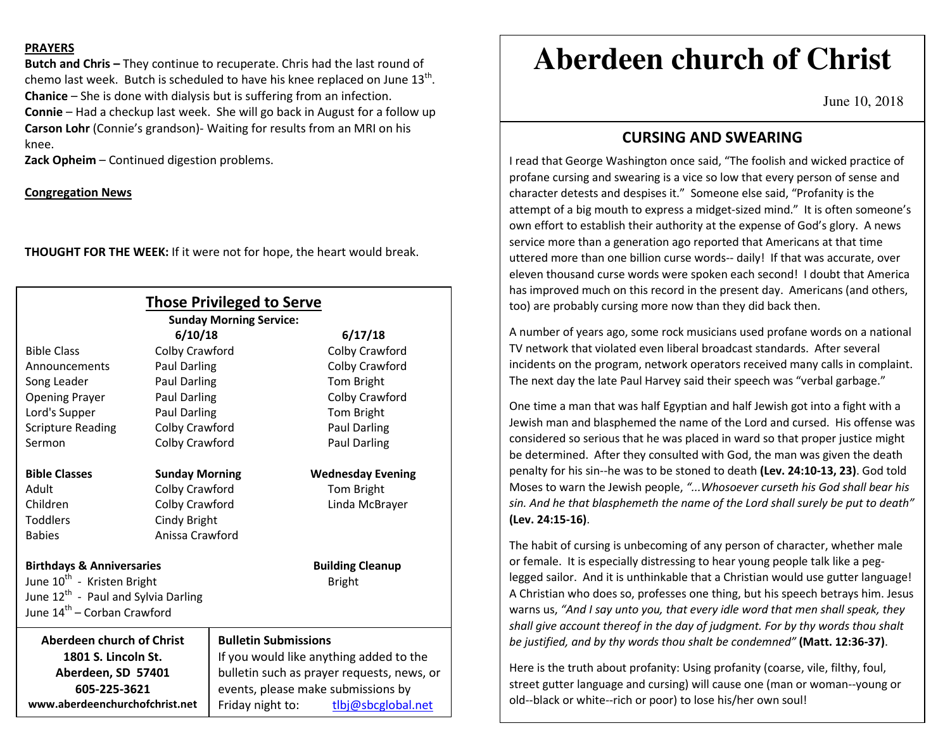#### **PRAYERS**

**Butch and Chris –** They continue to recuperate. Chris had the last round of chemo last week. Butch is scheduled to have his knee replaced on June 13<sup>th</sup>. **Chanice** – She is done with dialysis but is suffering from an infection. **Connie** – Had a checkup last week. She will go back in August for a follow up **Carson Lohr** (Connie's grandson)- Waiting for results from an MRI on his knee.

**Zack Opheim** – Continued digestion problems.

**Congregation News**

**THOUGHT FOR THE WEEK:** If it were not for hope, the heart would break.

| <b>Those Privileged to Serve</b><br><b>Sunday Morning Service:</b> |                       |                                            |                          |
|--------------------------------------------------------------------|-----------------------|--------------------------------------------|--------------------------|
|                                                                    | 6/10/18               |                                            | 6/17/18                  |
| <b>Bible Class</b>                                                 | Colby Crawford        |                                            | Colby Crawford           |
| Announcements                                                      | Paul Darling          |                                            | Colby Crawford           |
| Song Leader                                                        | <b>Paul Darling</b>   |                                            | Tom Bright               |
| <b>Opening Prayer</b>                                              | Paul Darling          |                                            | Colby Crawford           |
| Lord's Supper                                                      | Paul Darling          |                                            | Tom Bright               |
| <b>Scripture Reading</b>                                           | Colby Crawford        |                                            | <b>Paul Darling</b>      |
| Sermon                                                             | Colby Crawford        |                                            | Paul Darling             |
|                                                                    |                       |                                            |                          |
| <b>Bible Classes</b>                                               | <b>Sunday Morning</b> |                                            | <b>Wednesday Evening</b> |
| Adult                                                              | Colby Crawford        |                                            | Tom Bright               |
| Children                                                           | Colby Crawford        |                                            | Linda McBrayer           |
| <b>Toddlers</b>                                                    | Cindy Bright          |                                            |                          |
| <b>Babies</b>                                                      | Anissa Crawford       |                                            |                          |
| <b>Birthdays &amp; Anniversaries</b>                               |                       |                                            | <b>Building Cleanup</b>  |
| June 10 <sup>th</sup> - Kristen Bright                             |                       |                                            | <b>Bright</b>            |
| June 12 <sup>th</sup> - Paul and Sylvia Darling                    |                       |                                            |                          |
| June 14 <sup>th</sup> – Corban Crawford                            |                       |                                            |                          |
| <b>Aberdeen church of Christ</b>                                   |                       | <b>Bulletin Submissions</b>                |                          |
| 1801 S. Lincoln St.                                                |                       | If you would like anything added to the    |                          |
| Aberdeen, SD 57401                                                 |                       | bulletin such as prayer requests, news, or |                          |
| 605-225-3621                                                       |                       | events, please make submissions by         |                          |
| www.aberdeenchurchofchrist.net                                     |                       | Friday night to:                           | tlbj@sbcglobal.net       |

# **Aberdeen church of Christ**

June 10, 2018

## **CURSING AND SWEARING**

I read that George Washington once said, "The foolish and wicked practice of profane cursing and swearing is a vice so low that every person of sense and character detests and despises it." Someone else said, "Profanity is the attempt of a big mouth to express a midget-sized mind." It is often someone's own effort to establish their authority at the expense of God's glory. A news service more than a generation ago reported that Americans at that time uttered more than one billion curse words-- daily! If that was accurate, over eleven thousand curse words were spoken each second! I doubt that America has improved much on this record in the present day. Americans (and others, too) are probably cursing more now than they did back then.

A number of years ago, some rock musicians used profane words on a national TV network that violated even liberal broadcast standards. After several incidents on the program, network operators received many calls in complaint. The next day the late Paul Harvey said their speech was "verbal garbage."

One time a man that was half Egyptian and half Jewish got into a fight with a Jewish man and blasphemed the name of the Lord and cursed. His offense was considered so serious that he was placed in ward so that proper justice might be determined. After they consulted with God, the man was given the death penalty for his sin--he was to be stoned to death **(Lev. 24:10-13, 23)**. God told Moses to warn the Jewish people, *"...Whosoever curseth his God shall bear his sin. And he that blasphemeth the name of the Lord shall surely be put to death"* **(Lev. 24:15-16)**.

The habit of cursing is unbecoming of any person of character, whether male or female. It is especially distressing to hear young people talk like a peglegged sailor. And it is unthinkable that a Christian would use gutter language! A Christian who does so, professes one thing, but his speech betrays him. Jesus warns us, *"And I say unto you, that every idle word that men shall speak, they shall give account thereof in the day of judgment. For by thy words thou shalt be justified, and by thy words thou shalt be condemned"* **(Matt. 12:36-37)**.

Here is the truth about profanity: Using profanity (coarse, vile, filthy, foul, street gutter language and cursing) will cause one (man or woman--young or old--black or white--rich or poor) to lose his/her own soul!